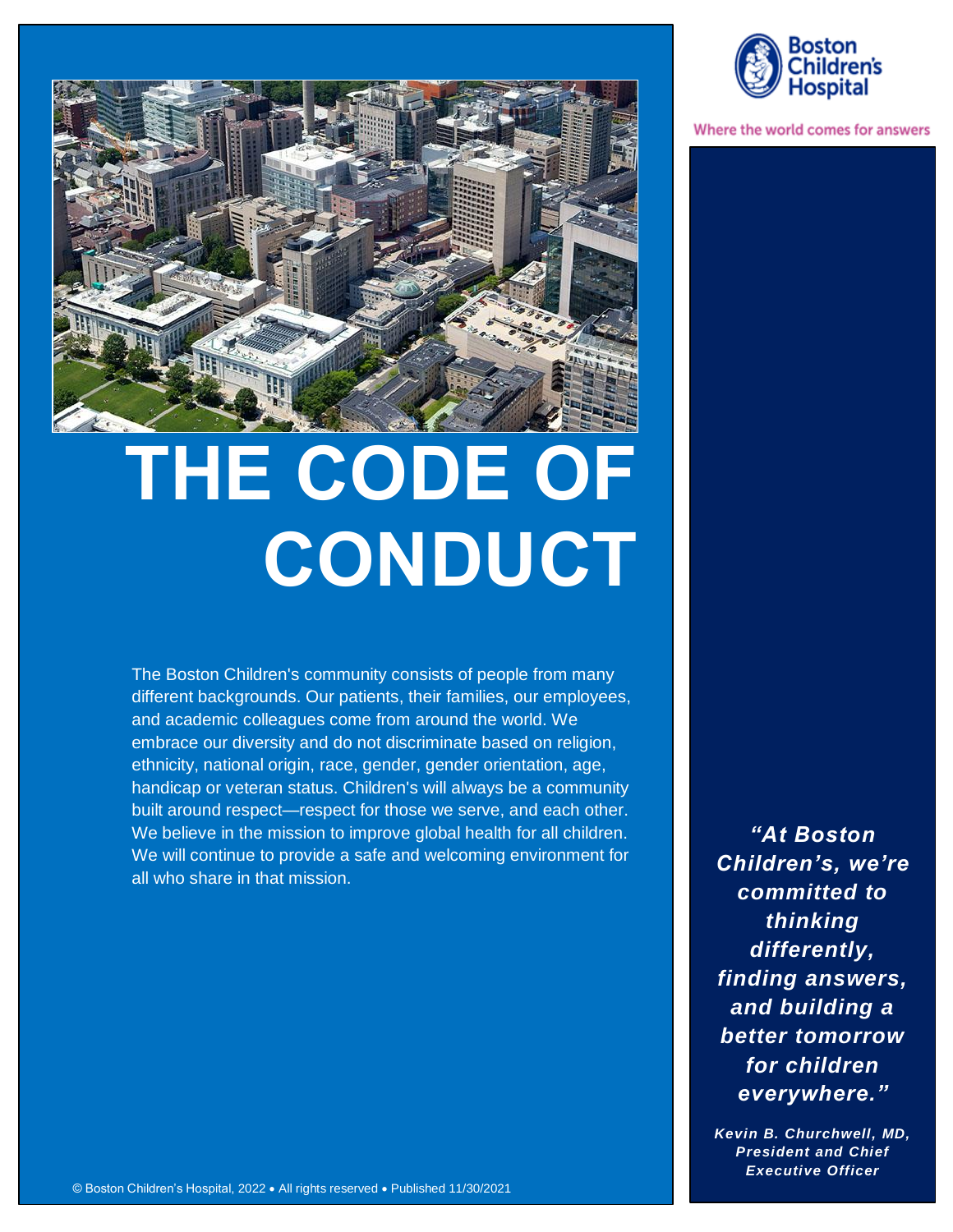

# **THE CODE OF CONDUCT**

The Boston Children's community consists of people from many different backgrounds. Our patients, their families, our employees, and academic colleagues come from around the world. We embrace our diversity and do not discriminate based on religion, ethnicity, national origin, race, gender, gender orientation, age, handicap or veteran status. Children's will always be a community built around respect—respect for those we serve, and each other. We believe in the mission to improve global health for all children. We will continue to provide a safe and welcoming environment for all who share in that mission.

*"At Boston Children's, we're committed to thinking differently, finding answers, and building a better tomorrow for children everywhere."* 

*Kevin B. Churchwell, MD, President and Chief Executive Officer*



Where the world comes for answers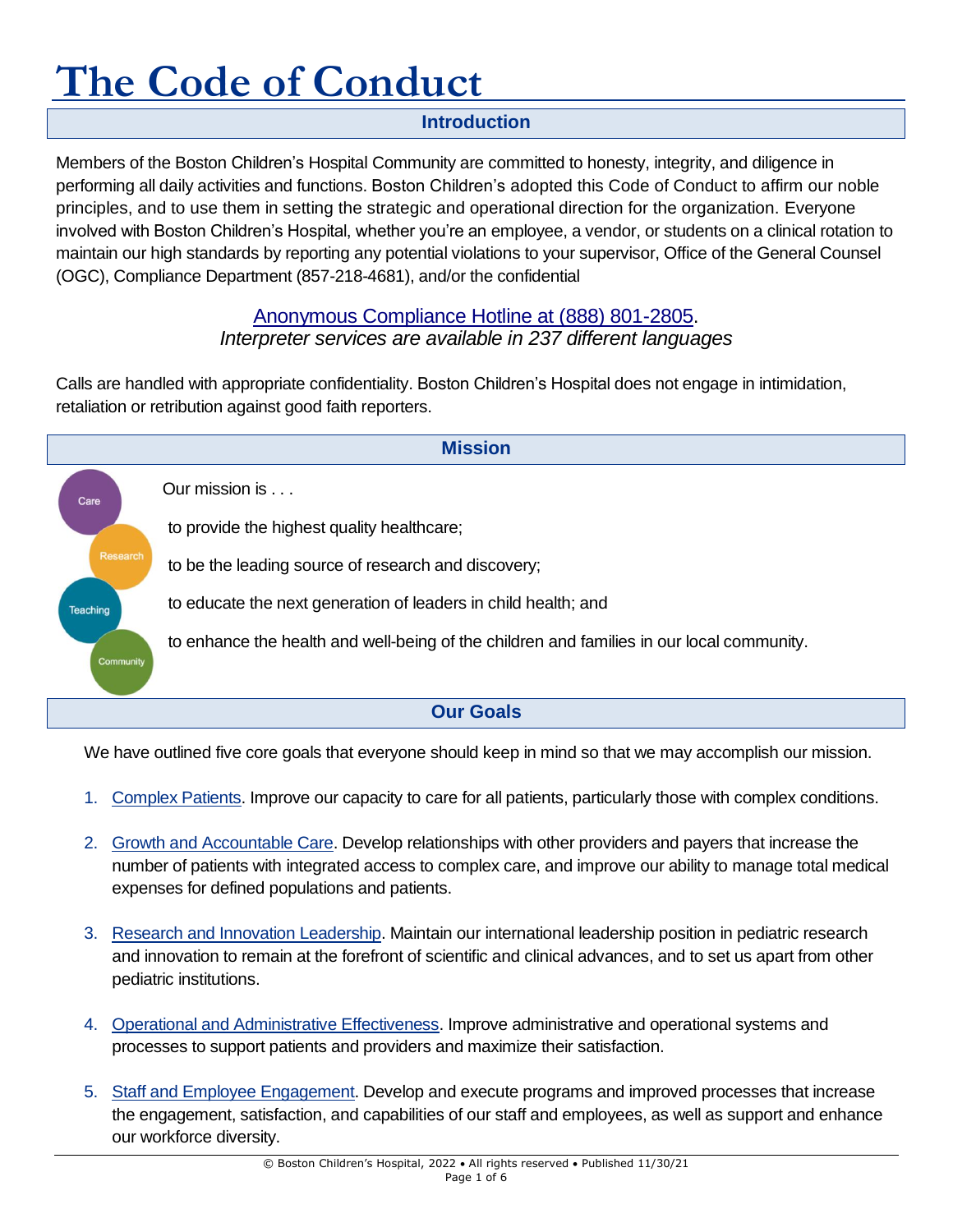#### **Introduction**

Members of the Boston Children's Hospital Community are committed to honesty, integrity, and diligence in performing all daily activities and functions. Boston Children's adopted this Code of Conduct to affirm our noble principles, and to use them in setting the strategic and operational direction for the organization. Everyone involved with Boston Children's Hospital, whether you're an employee, a vendor, or students on a clinical rotation to maintain our high standards by reporting any potential violations to your supervisor, Office of the General Counsel (OGC), Compliance Department (857-218-4681), and/or the confidential

#### [Anonymous Compliance Hotline at \(888\) 801-2805.](http://web2.tch.harvard.edu/compliance/mainpageS2628P4.html)

#### *Interpreter services are available in 237 different languages*

Calls are handled with appropriate confidentiality. Boston Children's Hospital does not engage in intimidation, retaliation or retribution against good faith reporters.



We have outlined five core goals that everyone should keep in mind so that we may accomplish our mission.

- 1. Complex Patients. Improve our capacity to care for all patients, particularly those with complex conditions.
- 2. Growth and Accountable Care. Develop relationships with other providers and payers that increase the number of patients with integrated access to complex care, and improve our ability to manage total medical expenses for defined populations and patients.
- 3. Research and Innovation Leadership. Maintain our international leadership position in pediatric research and innovation to remain at the forefront of scientific and clinical advances, and to set us apart from other pediatric institutions.
- 4. Operational and Administrative Effectiveness. Improve administrative and operational systems and processes to support patients and providers and maximize their satisfaction.
- 5. Staff and Employee Engagement. Develop and execute programs and improved processes that increase the engagement, satisfaction, and capabilities of our staff and employees, as well as support and enhance our workforce diversity.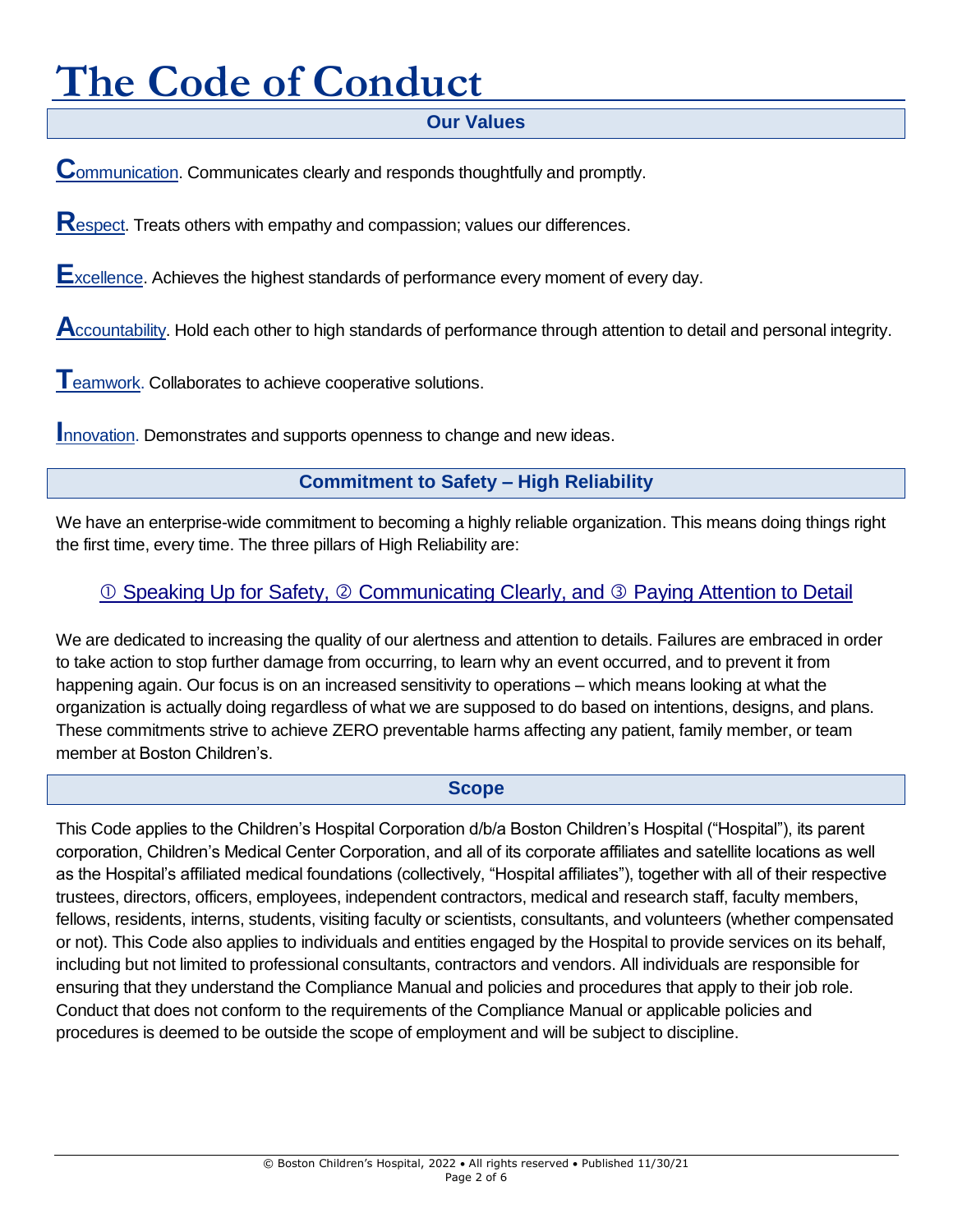#### **Our Values**

**C**ommunication. Communicates clearly and responds thoughtfully and promptly.

**R**espect. Treats others with empathy and compassion; values our differences.

**E**xcellence. Achieves the highest standards of performance every moment of every day.

**A**ccountability. Hold each other to high standards of performance through attention to detail and personal integrity.

**T**eamwork. Collaborates to achieve cooperative solutions.

**Innovation. Demonstrates and supports openness to change and new ideas.** 

#### **Commitment to Safety – High Reliability**

We have an enterprise-wide commitment to becoming a highly reliable organization. This means doing things right the first time, every time. The three pillars of High Reliability are:

#### **10 Speaking Up for Safety, © [Communicating Clearly, and](http://thriving.childrenshospital.org/wp-content/uploads/2015/09/ErrorPreventionToolKit.pdf) © Paying Attention to Detail**

We are dedicated to increasing the quality of our alertness and attention to details. Failures are embraced in order to take action to stop further damage from occurring, to learn why an event occurred, and to prevent it from happening again. Our focus is on an increased sensitivity to operations – which means looking at what the organization is actually doing regardless of what we are supposed to do based on intentions, designs, and plans. These commitments strive to achieve ZERO preventable harms affecting any patient, family member, or team member at Boston Children's.

#### **Scope**

This Code applies to the Children's Hospital Corporation d/b/a Boston Children's Hospital ("Hospital"), its parent corporation, Children's Medical Center Corporation, and all of its corporate affiliates and satellite locations as well as the Hospital's affiliated medical foundations (collectively, "Hospital affiliates"), together with all of their respective trustees, directors, officers, employees, independent contractors, medical and research staff, faculty members, fellows, residents, interns, students, visiting faculty or scientists, consultants, and volunteers (whether compensated or not). This Code also applies to individuals and entities engaged by the Hospital to provide services on its behalf, including but not limited to professional consultants, contractors and vendors. All individuals are responsible for ensuring that they understand the Compliance Manual and policies and procedures that apply to their job role. Conduct that does not conform to the requirements of the Compliance Manual or applicable policies and procedures is deemed to be outside the scope of employment and will be subject to discipline.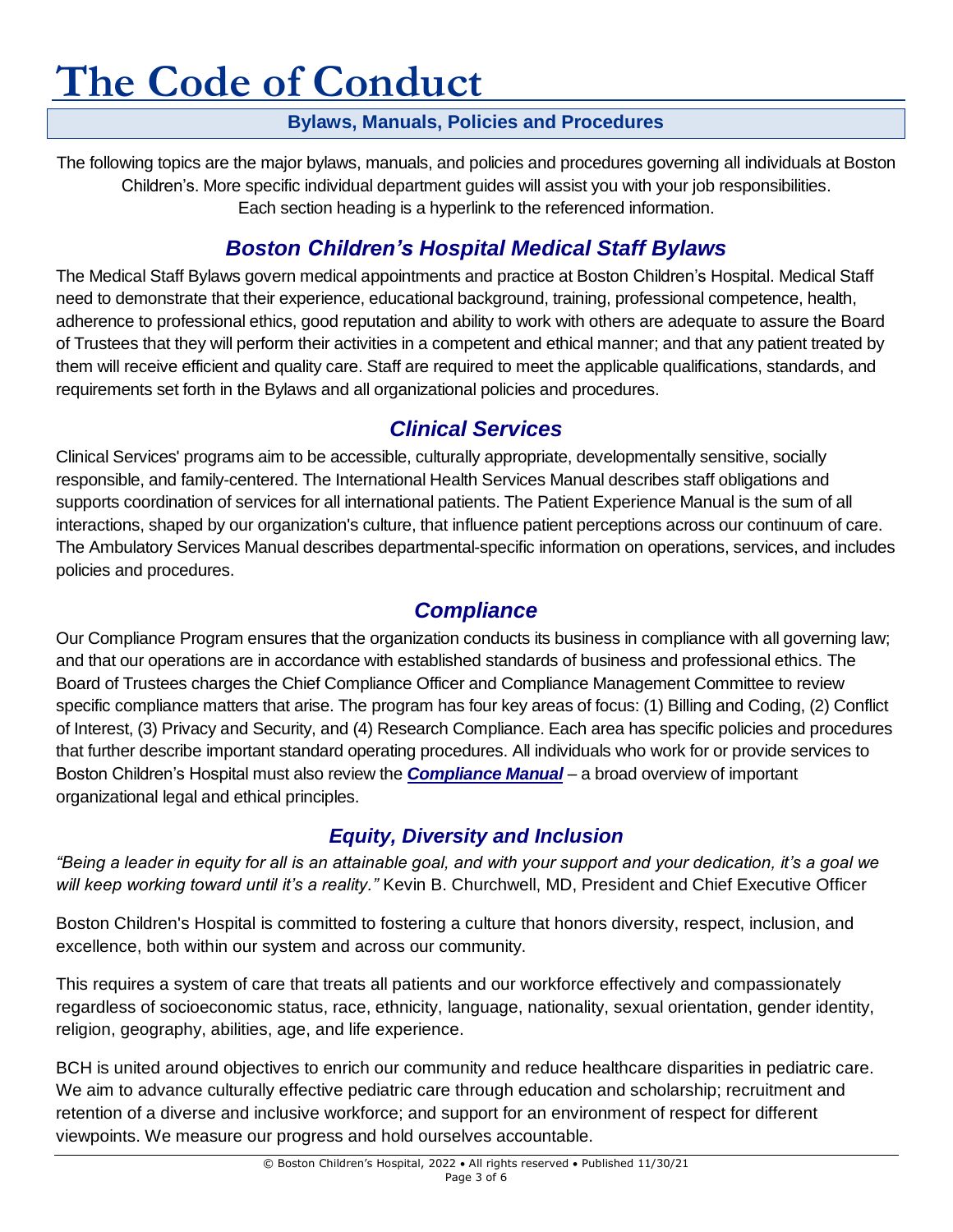#### **Bylaws, Manuals, Policies and Procedures**

The following topics are the major bylaws, manuals, and policies and procedures governing all individuals at Boston Children's. More specific individual department guides will assist you with your job responsibilities. Each section heading is a hyperlink to the referenced information.

# *Boston Children's [Hospital Medical Staff Bylaws](http://chbshare.chboston.org/elibrary/admin/manuals/msbylaws/default.aspx)*

The Medical Staff Bylaws govern medical appointments and practice at Boston Children's Hospital. Medical Staff need to demonstrate that their experience, educational background, training, professional competence, health, adherence to professional ethics, good reputation and ability to work with others are adequate to assure the Board of Trustees that they will perform their activities in a competent and ethical manner; and that any patient treated by them will receive efficient and quality care. Staff are required to meet the applicable qualifications, standards, and requirements set forth in the Bylaws and all organizational policies and procedures.

# *[Clinical Services](http://chbshare.chboston.org/elibrary/clinsvc/default.aspx)*

Clinical Services' programs aim to be accessible, culturally appropriate, developmentally sensitive, socially responsible, and family-centered. The International Health Services Manual describes staff obligations and supports coordination of services for all international patients. The Patient Experience Manual is the sum of all interactions, shaped by our organization's culture, that influence patient perceptions across our continuum of care. The Ambulatory Services Manual describes departmental-specific information on operations, services, and includes policies and procedures.

# *[Compliance](http://web2.tch.harvard.edu/compliance/)*

Our Compliance Program ensures that the organization conducts its business in compliance with all governing law; and that our operations are in accordance with established standards of business and professional ethics. The Board of Trustees charges the Chief Compliance Officer and Compliance Management Committee to review specific compliance matters that arise. The program has four key areas of focus: (1) Billing and Coding, (2) Conflict of Interest, (3) Privacy and Security, and (4) Research Compliance. Each area has specific policies and procedures that further describe important standard operating procedures. All individuals who work for or provide services to Boston Children's Hospital must also review the *[Compliance Manual](http://chbshare.chboston.org/elibrary/compliance/manuals/cpp/default.aspx)* – a broad overview of important organizational legal and ethical principles.

### *[Equity, Diversity and Inclusion](http://web2.tch.harvard.edu/diversity/mainpageS2678P22.html)*

*"Being a leader in equity for all is an attainable goal, and with your support and your dedication, it's a goal we will keep working toward until it's a reality."* Kevin B. Churchwell, MD, President and Chief Executive Officer

Boston Children's Hospital is committed to fostering a culture that honors diversity, respect, inclusion, and excellence, both within our system and across our community.

This requires a system of care that treats all patients and our workforce effectively and compassionately regardless of socioeconomic status, race, ethnicity, language, nationality, sexual orientation, gender identity, religion, geography, abilities, age, and life experience.

BCH is united around objectives to enrich our community and reduce healthcare disparities in pediatric care. We aim to advance culturally effective pediatric care through education and scholarship; recruitment and retention of a diverse and inclusive workforce; and support for an environment of respect for different viewpoints. We measure our progress and hold ourselves accountable.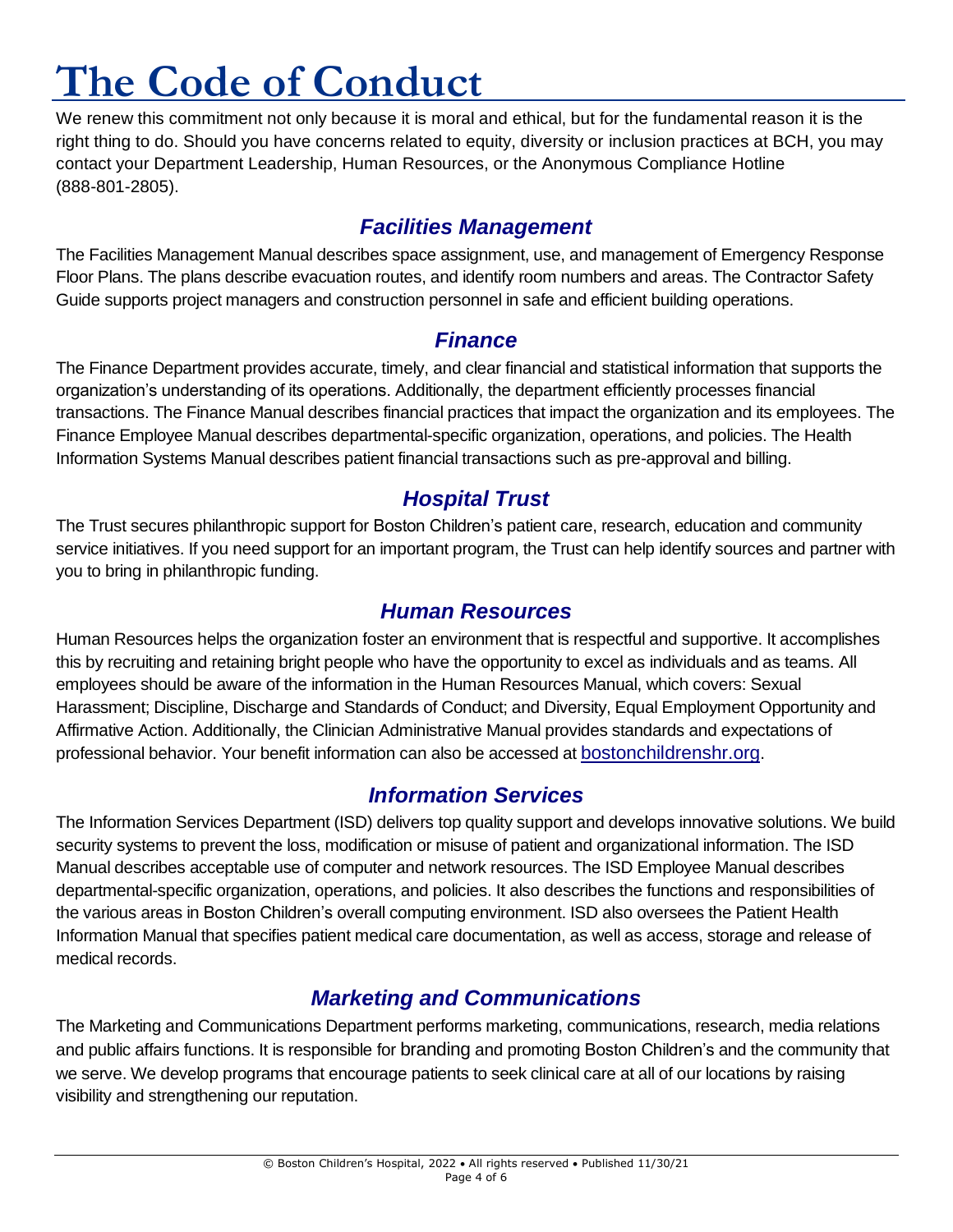We renew this commitment not only because it is moral and ethical, but for the fundamental reason it is the right thing to do. Should you have concerns related to equity, diversity or inclusion practices at BCH, you may contact your Department Leadership, Human Resources, or the Anonymous Compliance Hotline (888-801-2805).

#### *[Facilities Management](http://chbshare.chboston.org/elibrary/recp/default.aspx)*

The Facilities Management Manual describes space assignment, use, and management of Emergency Response Floor Plans. The plans describe evacuation routes, and identify room numbers and areas. The Contractor Safety Guide supports project managers and construction personnel in safe and efficient building operations.

#### *[Finance](http://chbshare.chboston.org/elibrary/fin/default.aspx)*

The Finance Department provides accurate, timely, and clear financial and statistical information that supports the organization's understanding of its operations. Additionally, the department efficiently processes financial transactions. The Finance Manual describes financial practices that impact the organization and its employees. The Finance Employee Manual describes departmental-specific organization, operations, and policies. The Health Information Systems Manual describes patient financial transactions such as pre-approval and billing.

### *[Hospital Trust](http://chbshare.chboston.org/elibrary/cht/default.aspx)*

The Trust secures philanthropic support for Boston Children's patient care, research, education and community service initiatives. If you need support for an important program, the Trust can help identify sources and partner with you to bring in philanthropic funding.

#### *[Human Resources](http://chbshare.chboston.org/elibrary/hr/default.aspx)*

Human Resources helps the organization foster an environment that is respectful and supportive. It accomplishes this by recruiting and retaining bright people who have the opportunity to excel as individuals and as teams. All employees should be aware of the information in the [Human Resources Manual,](http://chbshare/elibrary/hr/manuals/hrpp) which covers: Sexual Harassment; Discipline, Discharge and Standards of Conduct; and Diversity, Equal Employment Opportunity and Affirmative Action. Additionally, the Clinician Administrative Manual provides standards and expectations of professional behavior. Your benefit information can also be accessed at [bostonchildrenshr.org](http://bostonchildrenshr.org/).

### *[Information Services](http://chbshare.chboston.org/elibrary/isd/default.aspx)*

The Information Services Department (ISD) delivers top quality support and develops innovative solutions. We build security systems to prevent the loss, modification or misuse of patient and organizational information. The ISD Manual describes acceptable use of computer and network resources. The ISD Employee Manual describes departmental-specific organization, operations, and policies. It also describes the functions and responsibilities of the various areas in Boston Children's overall computing environment. ISD also oversees the Patient Health Information Manual that specifies patient medical care documentation, as well as access, storage and release of medical records.

### *[Marketing and Communications](http://web2.tch.harvard.edu/marcomm/)*

The Marketing and Communications Department performs marketing, communications, research, media relations and public affairs functions. It is responsible for [branding](file:///C:/Users/ch185868/Downloads/bch_brandguidelines%20(1).pdf) and promoting Boston Children's and the community that we serve. We develop programs that encourage patients to seek clinical care at all of our locations by raising visibility and strengthening our reputation.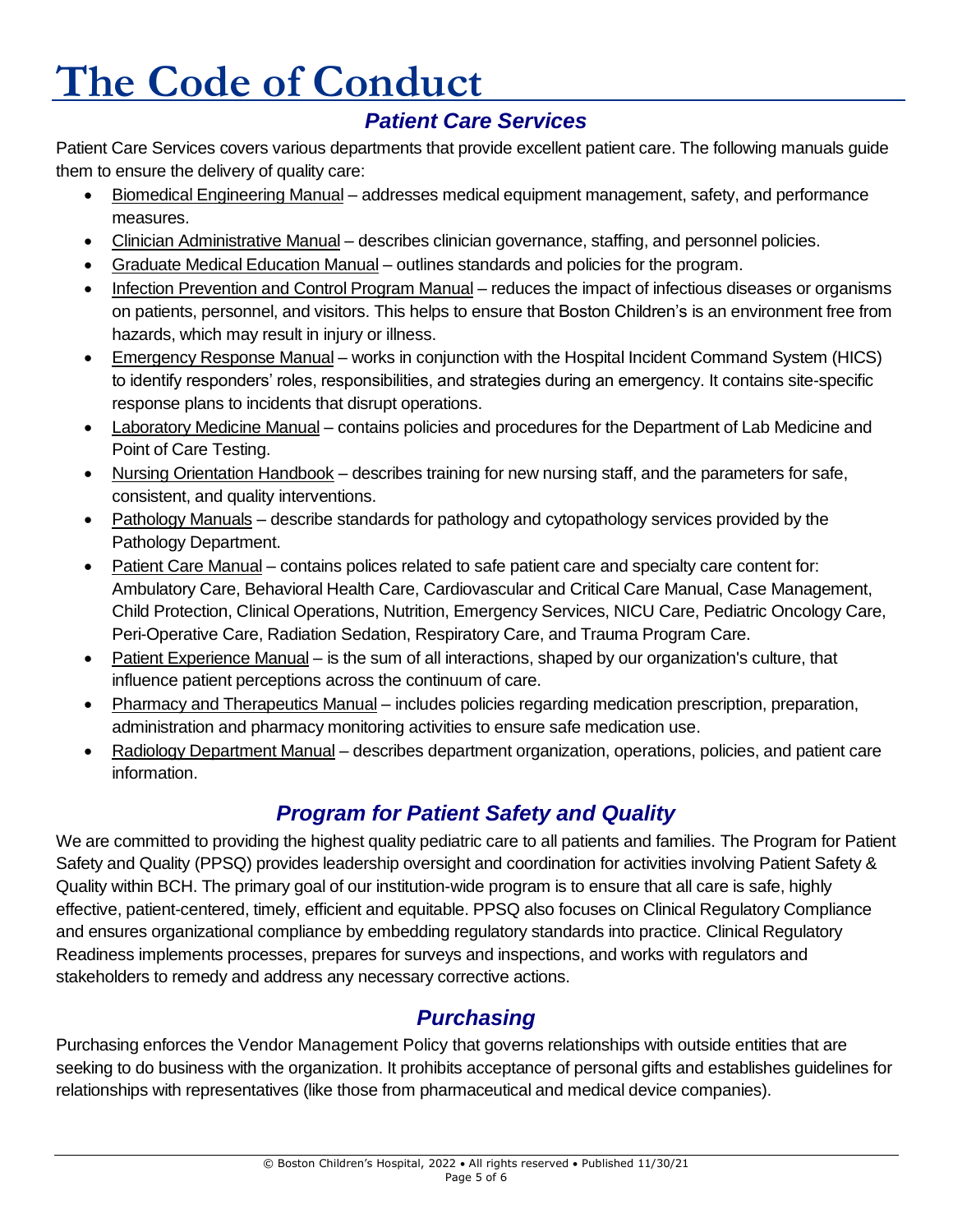# *[Patient Care Services](http://chbshare.chboston.org/elibrary/ptsvc/default.aspx)*

Patient Care Services covers various departments that provide excellent patient care. The following manuals guide them to ensure the delivery of quality care:

- Biomedical Engineering Manual addresses medical equipment management, safety, and performance measures.
- Clinician Administrative Manual describes clinician governance, staffing, and personnel policies.
- Graduate Medical Education Manual outlines standards and policies for the program.
- Infection Prevention and Control Program Manual reduces the impact of infectious diseases or organisms on patients, personnel, and visitors. This helps to ensure that Boston Children's is an environment free from hazards, which may result in injury or illness.
- Emergency Response Manual works in conjunction with the Hospital Incident Command System (HICS) to identify responders' roles, responsibilities, and strategies during an emergency. It contains site-specific response plans to incidents that disrupt operations.
- Laboratory Medicine Manual contains policies and procedures for the Department of Lab Medicine and Point of Care Testing.
- Nursing Orientation Handbook describes training for new nursing staff, and the parameters for safe, consistent, and quality interventions.
- Pathology Manuals describe standards for pathology and cytopathology services provided by the Pathology Department.
- Patient Care Manual contains polices related to safe patient care and specialty care content for: Ambulatory Care, Behavioral Health Care, Cardiovascular and Critical Care Manual, Case Management, Child Protection, Clinical Operations, Nutrition, Emergency Services, NICU Care, Pediatric Oncology Care, Peri-Operative Care, Radiation Sedation, Respiratory Care, and Trauma Program Care.
- Patient Experience Manual is the sum of all interactions, shaped by our organization's culture, that influence patient perceptions across the continuum of care.
- Pharmacy and Therapeutics Manual includes policies regarding medication prescription, preparation, administration and pharmacy monitoring activities to ensure safe medication use.
- Radiology Department Manual describes department organization, operations, policies, and patient care information.

# *[Program for Patient Safety and Quality](http://web2.tch.harvard.edu/ppsq/)*

We are committed to providing the highest quality pediatric care to all patients and families. The Program for Patient Safety and Quality (PPSQ) provides leadership oversight and coordination for activities involving Patient Safety & Quality within BCH. The primary goal of our institution-wide program is to ensure that all care is safe, highly effective, patient-centered, timely, efficient and equitable. PPSQ also focuses on Clinical Regulatory Compliance and ensures organizational compliance by embedding regulatory standards into practice. Clinical Regulatory Readiness implements processes, prepares for surveys and inspections, and works with regulators and stakeholders to remedy and address any necessary corrective actions.

# *[Purchasing](http://chbshare.chboston.org/elibrary/supsvc/manuals/scmm/scmm/Purchasing%20Policy.pdf)*

Purchasing enforces the Vendor Management Policy that governs relationships with outside entities that are seeking to do business with the organization. It prohibits acceptance of personal gifts and establishes guidelines for relationships with representatives (like those from pharmaceutical and medical device companies).